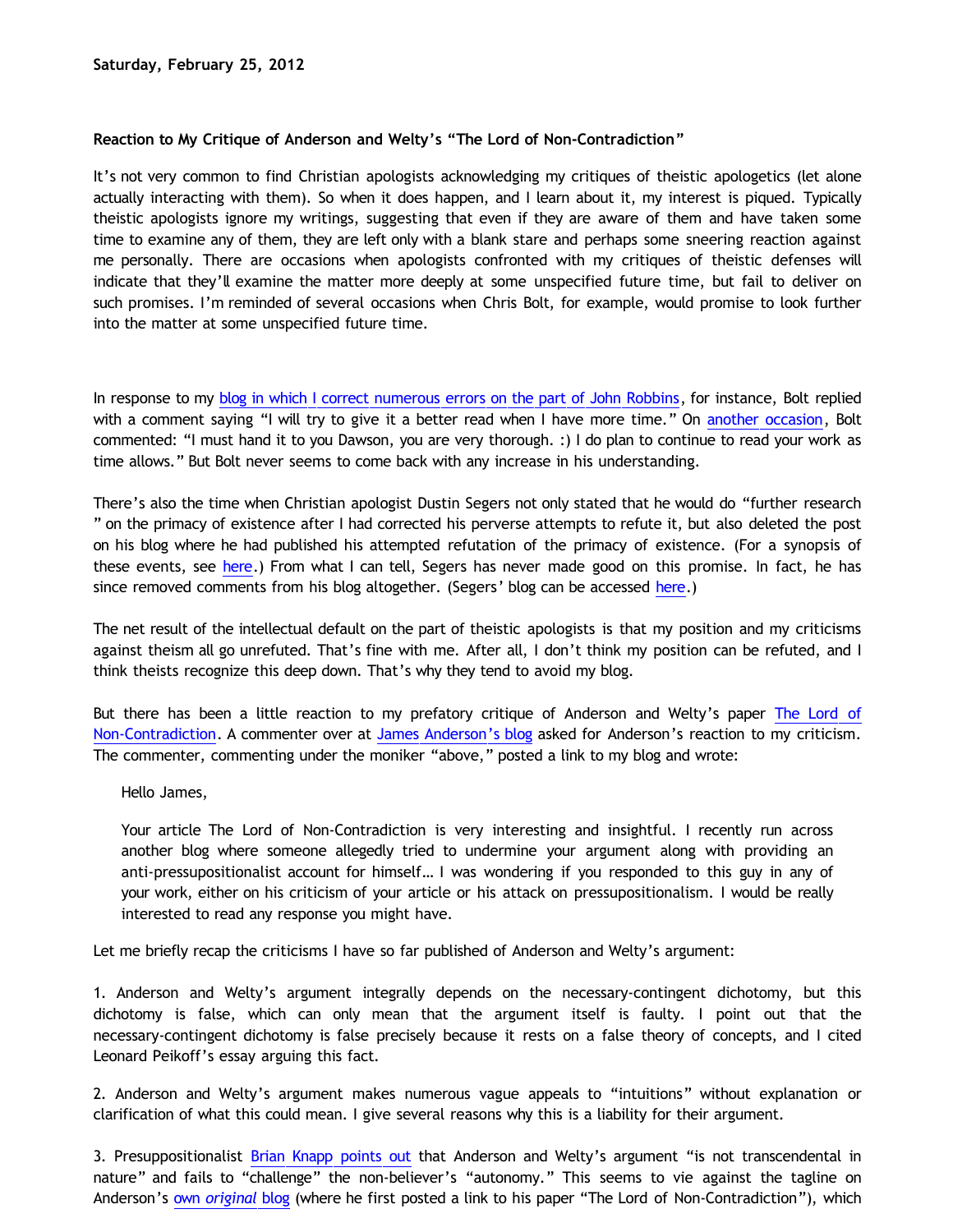# **Reaction to My Critique of Anderson and Welty's "The Lord of Non-Contradiction"**

It's not very common to find Christian apologists acknowledging my critiques of theistic apologetics (let alone actually interacting with them). So when it does happen, and I learn about it, my interest is piqued. Typically theistic apologists ignore my writings, suggesting that even if they are aware of them and have taken some time to examine any of them, they are left only with a blank stare and perhaps some sneering reaction against me personally. There are occasions when apologists confronted with my critiques of theistic defenses will indicate that they'll examine the matter more deeply at some unspecified future time, but fail to deliver on such promises. I'm reminded of several occasions when Chris Bolt, for example, would promise to look further into the matter at some unspecified future time.

In response to my [blog in which I correct numerous errors on the part of John Robbins](http://bahnsenburner.blogspot.com/2010/03/john-robbins-and-foreclosure-of-his.html), for instance, Bolt replied with a comment saying "I will try to give it a better read when I have more time." On [another occasion,](http://bahnsenburner.blogspot.com/2009/10/chris-bolt-on-hume-and-induction.html) Bolt commented: "I must hand it to you Dawson, you are very thorough. :) I do plan to continue to read your work as time allows." But Bolt never seems to come back with any increase in his understanding.

There's also the time when Christian apologist Dustin Segers not only stated that he would do "further research " on the primacy of existence after I had corrected his perverse attempts to refute it, but also deleted the post on his blog where he had published his attempted refutation of the primacy of existence. (For a synopsis of these events, see [here.](http://katholon.com/Doofusman.htm)) From what I can tell, Segers has never made good on this promise. In fact, he has since removed comments from his blog altogether. (Segers' blog can be accessed [here](http://graceinthetriad.blogspot.com/).)

The net result of the intellectual default on the part of theistic apologists is that my position and my criticisms against theism all go unrefuted. That's fine with me. After all, I don't think my position can be refuted, and I think theists recognize this deep down. That's why they tend to avoid my blog.

But there has been a little reaction to my prefatory critique of Anderson and Welty's paper [The Lord of](http://www.proginosko.com/docs/The_Lord_of_Non-Contradiction.pdf) [Non-Contradiction.](http://www.proginosko.com/docs/The_Lord_of_Non-Contradiction.pdf) A commenter over at [James Anderson's blog](http://www.proginosko.com/2011/12/the-lord-of-non-contradiction/) asked for Anderson's reaction to my criticism. The commenter, commenting under the moniker "above," posted a link to my blog and wrote:

Hello James,

Your article The Lord of Non-Contradiction is very interesting and insightful. I recently run across another blog where someone allegedly tried to undermine your argument along with providing an anti-pressupositionalist account for himself… I was wondering if you responded to this guy in any of your work, either on his criticism of your article or his attack on pressupositionalism. I would be really interested to read any response you might have.

Let me briefly recap the criticisms I have so far published of Anderson and Welty's argument:

1. Anderson and Welty's argument integrally depends on the necessary-contingent dichotomy, but this dichotomy is false, which can only mean that the argument itself is faulty. I point out that the necessary-contingent dichotomy is false precisely because it rests on a false theory of concepts, and I cited Leonard Peikoff's essay arguing this fact.

2. Anderson and Welty's argument makes numerous vague appeals to "intuitions" without explanation or clarification of what this could mean. I give several reasons why this is a liability for their argument.

3. Presuppositionalist [Brian Knapp points out](http://www.choosinghats.com/2011/12/the-lord-of-non-contradiction-an-argument-for-god-from-logic-by-james-anderson-and-greg-welty/) that Anderson and Welty's argument "is not transcendental in nature" and fails to "challenge" the non-believer's "autonomy." This seems to vie against the tagline on Anderson's [own](http://proginosko.wordpress.com/) *[original](http://proginosko.wordpress.com/)* [blog](http://proginosko.wordpress.com/) (where he first posted a link to his paper "The Lord of Non-Contradiction"), which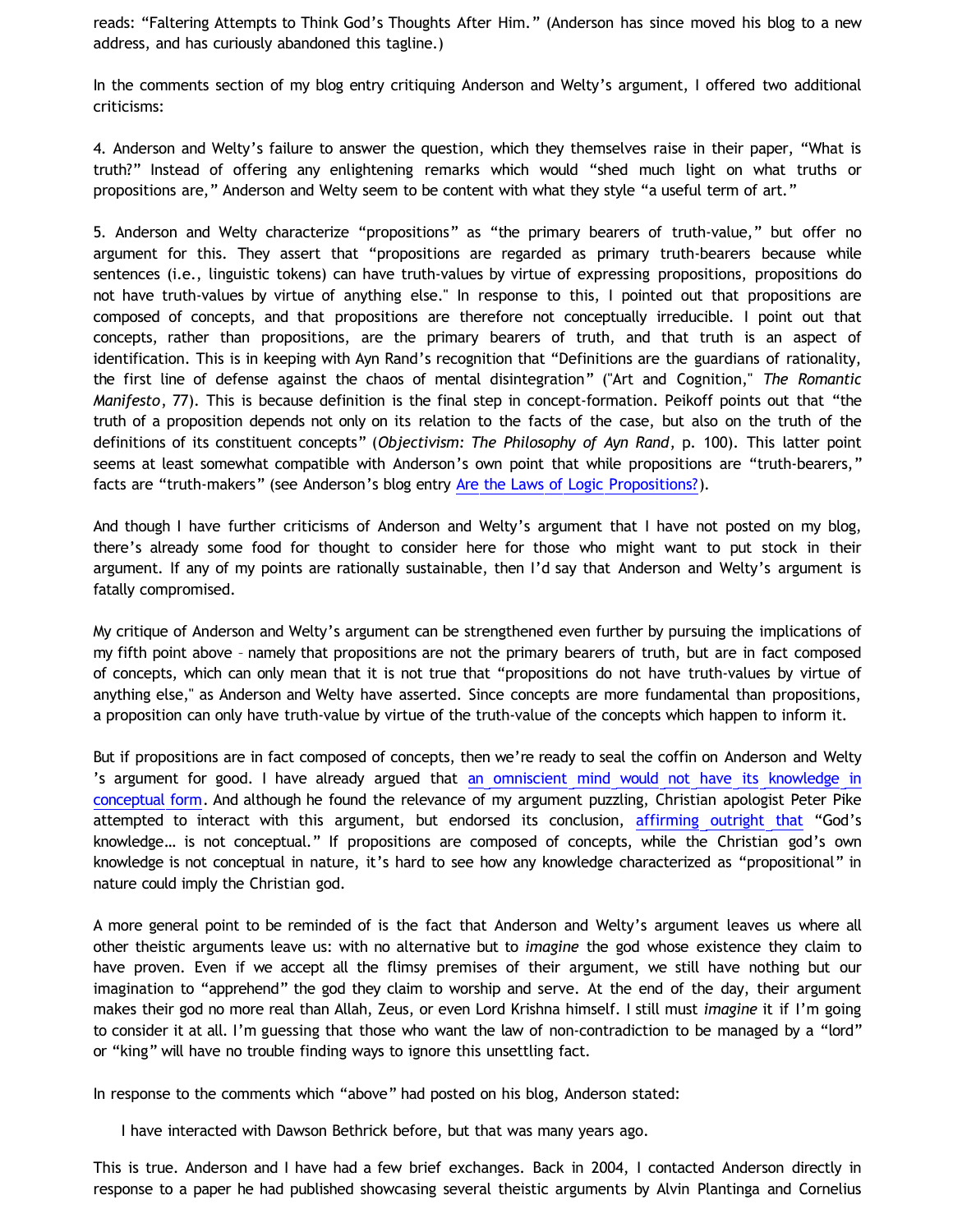reads: "Faltering Attempts to Think God's Thoughts After Him." (Anderson has since moved his blog to a new address, and has curiously abandoned this tagline.)

In the comments section of my blog entry critiquing Anderson and Welty's argument, I offered two additional criticisms:

4. Anderson and Welty's failure to answer the question, which they themselves raise in their paper, "What is truth?" Instead of offering any enlightening remarks which would "shed much light on what truths or propositions are," Anderson and Welty seem to be content with what they style "a useful term of art."

5. Anderson and Welty characterize "propositions" as "the primary bearers of truth-value," but offer no argument for this. They assert that "propositions are regarded as primary truth-bearers because while sentences (i.e., linguistic tokens) can have truth-values by virtue of expressing propositions, propositions do not have truth-values by virtue of anything else." In response to this, I pointed out that propositions are composed of concepts, and that propositions are therefore not conceptually irreducible. I point out that concepts, rather than propositions, are the primary bearers of truth, and that truth is an aspect of identification. This is in keeping with Ayn Rand's recognition that "Definitions are the guardians of rationality, the first line of defense against the chaos of mental disintegration" ("Art and Cognition," *The Romantic Manifesto*, 77). This is because definition is the final step in concept-formation. Peikoff points out that "the truth of a proposition depends not only on its relation to the facts of the case, but also on the truth of the definitions of its constituent concepts" (*Objectivism: The Philosophy of Ayn Rand*, p. 100). This latter point seems at least somewhat compatible with Anderson's own point that while propositions are "truth-bearers," facts are "truth-makers" (see Anderson's blog entry [Are the Laws of Logic Propositions?](http://www.proginosko.com/2012/02/are-the-laws-of-logic-propositions/)).

And though I have further criticisms of Anderson and Welty's argument that I have not posted on my blog, there's already some food for thought to consider here for those who might want to put stock in their argument. If any of my points are rationally sustainable, then I'd say that Anderson and Welty's argument is fatally compromised.

My critique of Anderson and Welty's argument can be strengthened even further by pursuing the implications of my fifth point above – namely that propositions are not the primary bearers of truth, but are in fact composed of concepts, which can only mean that it is not true that "propositions do not have truth-values by virtue of anything else," as Anderson and Welty have asserted. Since concepts are more fundamental than propositions, a proposition can only have truth-value by virtue of the truth-value of the concepts which happen to inform it.

But if propositions are in fact composed of concepts, then we're ready to seal the coffin on Anderson and Welty 's argument for good. I have already argued that [an omniscient mind would not have its knowledge in](http://bahnsenburner.blogspot.com/2007/04/would-omniscient-mind-have-knowledge-in.html) [conceptual form](http://bahnsenburner.blogspot.com/2007/04/would-omniscient-mind-have-knowledge-in.html). And although he found the relevance of my argument puzzling, Christian apologist Peter Pike attempted to interact with this argument, but endorsed its conclusion, [affirming outright that](http://bahnsenburner.blogspot.com/2007/04/pike-on-concepts-and-omniscience.html) "God's knowledge… is not conceptual." If propositions are composed of concepts, while the Christian god's own knowledge is not conceptual in nature, it's hard to see how any knowledge characterized as "propositional" in nature could imply the Christian god.

A more general point to be reminded of is the fact that Anderson and Welty's argument leaves us where all other theistic arguments leave us: with no alternative but to *imagine* the god whose existence they claim to have proven. Even if we accept all the flimsy premises of their argument, we still have nothing but our imagination to "apprehend" the god they claim to worship and serve. At the end of the day, their argument makes their god no more real than Allah, Zeus, or even Lord Krishna himself. I still must *imagine* it if I'm going to consider it at all. I'm guessing that those who want the law of non-contradiction to be managed by a "lord" or "king" will have no trouble finding ways to ignore this unsettling fact.

In response to the comments which "above" had posted on his blog, Anderson stated:

I have interacted with Dawson Bethrick before, but that was many years ago.

This is true. Anderson and I have had a few brief exchanges. Back in 2004, I contacted Anderson directly in response to a paper he had published showcasing several theistic arguments by Alvin Plantinga and Cornelius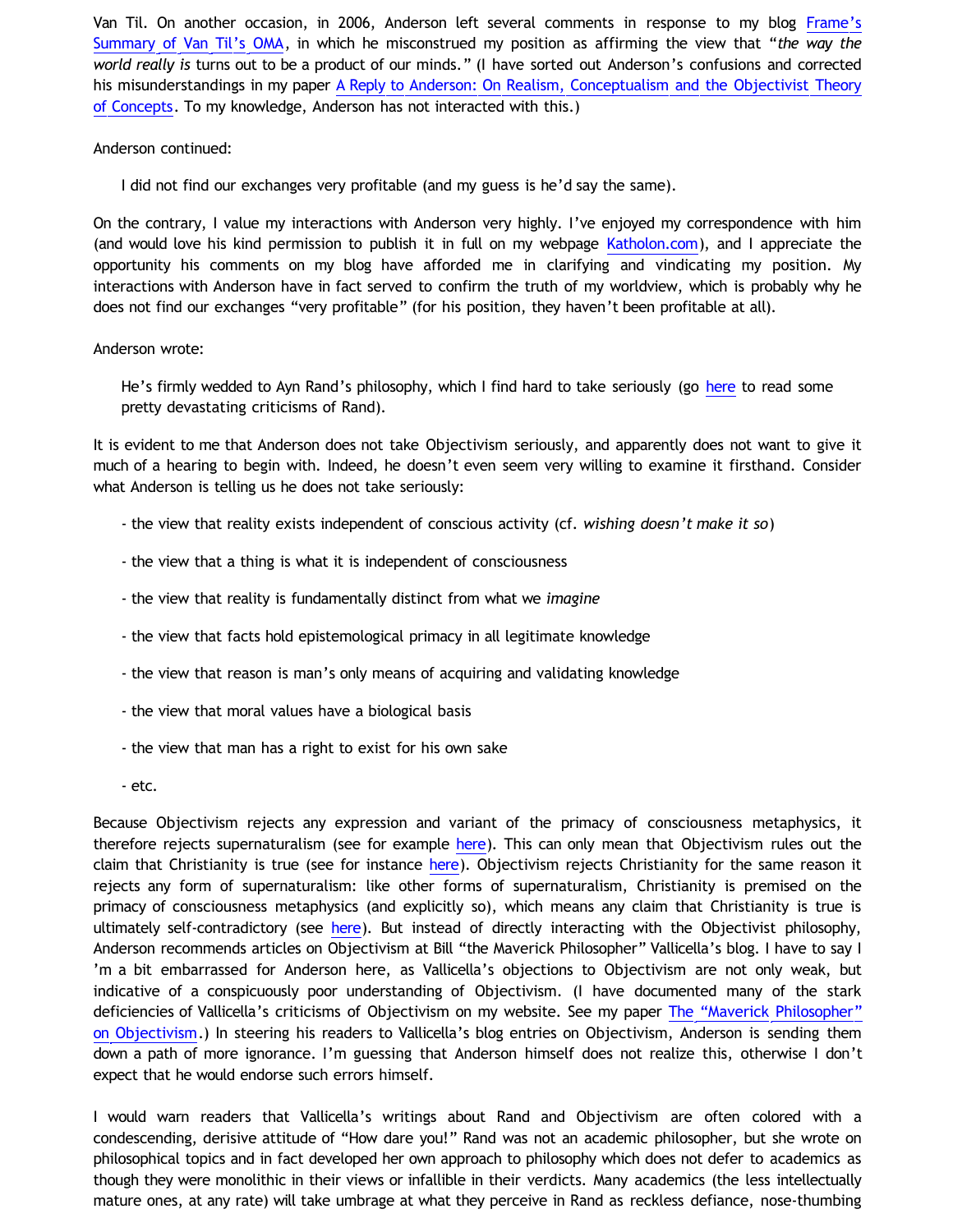Van Til. On another occasion, in 2006, Anderson left several comments in response to my blog [Frame's](http://bahnsenburner.blogspot.com/2006/09/frames-summary-of-van-tils-oma.html) [Summary of Van Til's OMA](http://bahnsenburner.blogspot.com/2006/09/frames-summary-of-van-tils-oma.html), in which he misconstrued my position as affirming the view that "*the way the world really is* turns out to be a product of our minds." (I have sorted out Anderson's confusions and corrected his misunderstandings in my paper [A Reply to Anderson: On Realism, Conceptualism and the Objectivist Theory](http://katholon.com/Anderson.htm) [of Concepts.](http://katholon.com/Anderson.htm) To my knowledge, Anderson has not interacted with this.)

### Anderson continued:

I did not find our exchanges very profitable (and my guess is he'd say the same).

On the contrary, I value my interactions with Anderson very highly. I've enjoyed my correspondence with him (and would love his kind permission to publish it in full on my webpage [Katholon.com](http://katholon.com/)), and I appreciate the opportunity his comments on my blog have afforded me in clarifying and vindicating my position. My interactions with Anderson have in fact served to confirm the truth of my worldview, which is probably why he does not find our exchanges "very profitable" (for his position, they haven't been profitable at all).

## Anderson wrote:

He's firmly wedded to Ayn Rand's philosophy, which I find hard to take seriously (go [here](http://maverickphilosopher.typepad.com/maverick_philosopher/rand-ayn/) to read some pretty devastating criticisms of Rand).

It is evident to me that Anderson does not take Objectivism seriously, and apparently does not want to give it much of a hearing to begin with. Indeed, he doesn't even seem very willing to examine it firsthand. Consider what Anderson is telling us he does not take seriously:

- the view that reality exists independent of conscious activity (cf. *wishing doesn't make it so*)
- the view that a thing is what it is independent of consciousness
- the view that reality is fundamentally distinct from what we *imagine*
- the view that facts hold epistemological primacy in all legitimate knowledge
- the view that reason is man's only means of acquiring and validating knowledge
- the view that moral values have a biological basis
- the view that man has a right to exist for his own sake
- etc.

Because Objectivism rejects any expression and variant of the primacy of consciousness metaphysics, it therefore rejects supernaturalism (see for example [here\)](http://www.katholon.com/Bahnsen_Supernatural.htm). This can only mean that Objectivism rules out the claim that Christianity is true (see for instance [here\)](http://bahnsenburner.blogspot.com/2010/02/how-theism-violates-primacy-of.html). Objectivism rejects Christianity for the same reason it rejects any form of supernaturalism: like other forms of supernaturalism, Christianity is premised on the primacy of consciousness metaphysics (and explicitly so), which means any claim that Christianity is true is ultimately self-contradictory (see [here](http://www.reocities.com/Athens/Sparta/1019/AFE/God_Contradiction.htm)). But instead of directly interacting with the Objectivist philosophy, Anderson recommends articles on Objectivism at Bill "the Maverick Philosopher" Vallicella's blog. I have to say I 'm a bit embarrassed for Anderson here, as Vallicella's objections to Objectivism are not only weak, but indicative of a conspicuously poor understanding of Objectivism. (I have documented many of the stark deficiencies of Vallicella's criticisms of Objectivism on my website. See my paper [The](http://katholon.com/Vallicella.htm) ["Maverick Philosopher"](http://katholon.com/Vallicella.htm) [on Objectivism.](http://katholon.com/Vallicella.htm)) In steering his readers to Vallicella's blog entries on Objectivism, Anderson is sending them down a path of more ignorance. I'm guessing that Anderson himself does not realize this, otherwise I don't expect that he would endorse such errors himself.

I would warn readers that Vallicella's writings about Rand and Objectivism are often colored with a condescending, derisive attitude of "How dare you!" Rand was not an academic philosopher, but she wrote on philosophical topics and in fact developed her own approach to philosophy which does not defer to academics as though they were monolithic in their views or infallible in their verdicts. Many academics (the less intellectually mature ones, at any rate) will take umbrage at what they perceive in Rand as reckless defiance, nose-thumbing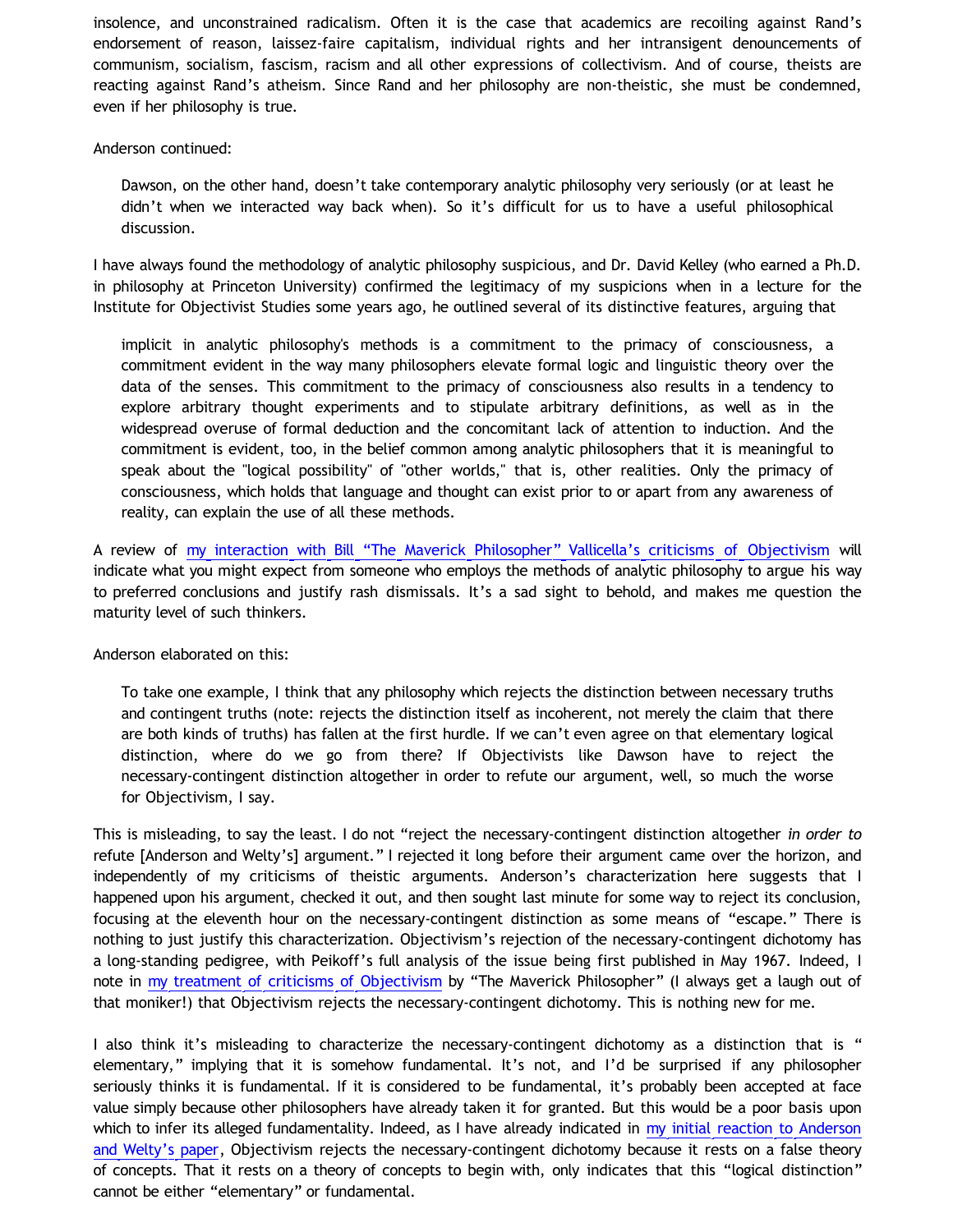insolence, and unconstrained radicalism. Often it is the case that academics are recoiling against Rand's endorsement of reason, laissez-faire capitalism, individual rights and her intransigent denouncements of communism, socialism, fascism, racism and all other expressions of collectivism. And of course, theists are reacting against Rand's atheism. Since Rand and her philosophy are non-theistic, she must be condemned, even if her philosophy is true.

### Anderson continued:

Dawson, on the other hand, doesn't take contemporary analytic philosophy very seriously (or at least he didn't when we interacted way back when). So it's difficult for us to have a useful philosophical discussion.

I have always found the methodology of analytic philosophy suspicious, and Dr. David Kelley (who earned a Ph.D. in philosophy at Princeton University) confirmed the legitimacy of my suspicions when in a lecture for the Institute for Objectivist Studies some years ago, he outlined several of its distinctive features, arguing that

implicit in analytic philosophy's methods is a commitment to the primacy of consciousness, a commitment evident in the way many philosophers elevate formal logic and linguistic theory over the data of the senses. This commitment to the primacy of consciousness also results in a tendency to explore arbitrary thought experiments and to stipulate arbitrary definitions, as well as in the widespread overuse of formal deduction and the concomitant lack of attention to induction. And the commitment is evident, too, in the belief common among analytic philosophers that it is meaningful to speak about the "logical possibility" of "other worlds," that is, other realities. Only the primacy of consciousness, which holds that language and thought can exist prior to or apart from any awareness of reality, can explain the use of all these methods.

A review of [my interaction with Bill](http://katholon.com/Vallicella.htm) ["The Maverick Philosopher" Vallicella's criticisms of Objectivism](http://katholon.com/Vallicella.htm) will indicate what you might expect from someone who employs the methods of analytic philosophy to argue his way to preferred conclusions and justify rash dismissals. It's a sad sight to behold, and makes me question the maturity level of such thinkers.

Anderson elaborated on this:

To take one example, I think that any philosophy which rejects the distinction between necessary truths and contingent truths (note: rejects the distinction itself as incoherent, not merely the claim that there are both kinds of truths) has fallen at the first hurdle. If we can't even agree on that elementary logical distinction, where do we go from there? If Objectivists like Dawson have to reject the necessary-contingent distinction altogether in order to refute our argument, well, so much the worse for Objectivism, I say.

This is misleading, to say the least. I do not "reject the necessary-contingent distinction altogether *in order to* refute [Anderson and Welty's] argument." I rejected it long before their argument came over the horizon, and independently of my criticisms of theistic arguments. Anderson's characterization here suggests that I happened upon his argument, checked it out, and then sought last minute for some way to reject its conclusion, focusing at the eleventh hour on the necessary-contingent distinction as some means of "escape." There is nothing to just justify this characterization. Objectivism's rejection of the necessary-contingent dichotomy has a long-standing pedigree, with Peikoff's full analysis of the issue being first published in May 1967. Indeed, I note in [my treatment of criticisms of Objectivism](http://katholon.com/Vallicella.htm) by "The Maverick Philosopher" (I always get a laugh out of that moniker!) that Objectivism rejects the necessary-contingent dichotomy. This is nothing new for me.

I also think it's misleading to characterize the necessary-contingent dichotomy as a distinction that is " elementary," implying that it is somehow fundamental. It's not, and I'd be surprised if any philosopher seriously thinks it is fundamental. If it is considered to be fundamental, it's probably been accepted at face value simply because other philosophers have already taken it for granted. But this would be a poor basis upon which to infer its alleged fundamentality. Indeed, as I have already indicated in [my initial reaction to Anderson](http://bahnsenburner.blogspot.com/2012/01/are-laws-of-logic-thoughts-of-christian.html) [and Welty's paper](http://bahnsenburner.blogspot.com/2012/01/are-laws-of-logic-thoughts-of-christian.html), Objectivism rejects the necessary-contingent dichotomy because it rests on a false theory of concepts. That it rests on a theory of concepts to begin with, only indicates that this "logical distinction" cannot be either "elementary" or fundamental.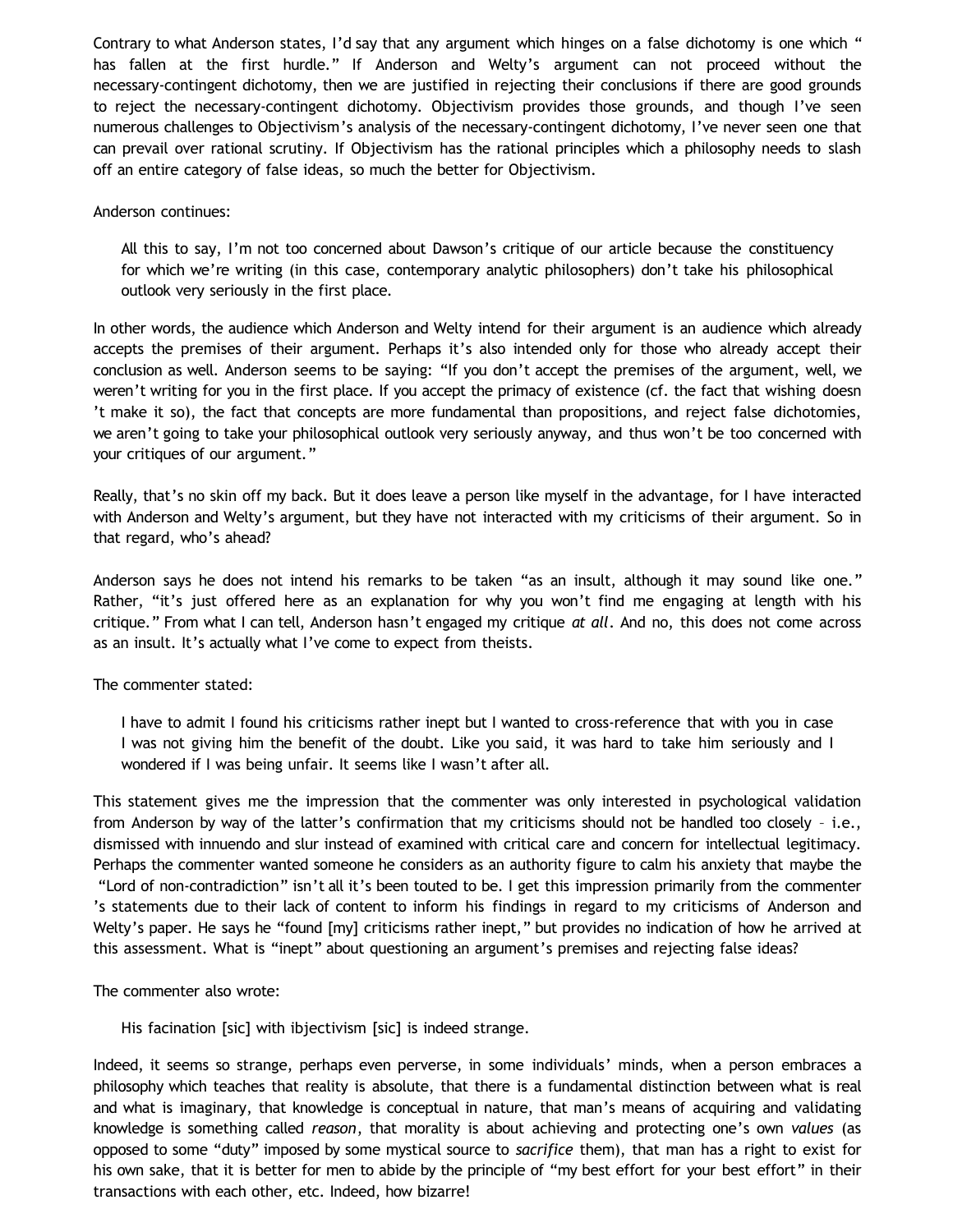Contrary to what Anderson states, I'd say that any argument which hinges on a false dichotomy is one which " has fallen at the first hurdle." If Anderson and Welty's argument can not proceed without the necessary-contingent dichotomy, then we are justified in rejecting their conclusions if there are good grounds to reject the necessary-contingent dichotomy. Objectivism provides those grounds, and though I've seen numerous challenges to Objectivism's analysis of the necessary-contingent dichotomy, I've never seen one that can prevail over rational scrutiny. If Objectivism has the rational principles which a philosophy needs to slash off an entire category of false ideas, so much the better for Objectivism.

### Anderson continues:

All this to say, I'm not too concerned about Dawson's critique of our article because the constituency for which we're writing (in this case, contemporary analytic philosophers) don't take his philosophical outlook very seriously in the first place.

In other words, the audience which Anderson and Welty intend for their argument is an audience which already accepts the premises of their argument. Perhaps it's also intended only for those who already accept their conclusion as well. Anderson seems to be saying: "If you don't accept the premises of the argument, well, we weren't writing for you in the first place. If you accept the primacy of existence (cf. the fact that wishing doesn 't make it so), the fact that concepts are more fundamental than propositions, and reject false dichotomies, we aren't going to take your philosophical outlook very seriously anyway, and thus won't be too concerned with your critiques of our argument."

Really, that's no skin off my back. But it does leave a person like myself in the advantage, for I have interacted with Anderson and Welty's argument, but they have not interacted with my criticisms of their argument. So in that regard, who's ahead?

Anderson says he does not intend his remarks to be taken "as an insult, although it may sound like one." Rather, "it's just offered here as an explanation for why you won't find me engaging at length with his critique." From what I can tell, Anderson hasn't engaged my critique *at all*. And no, this does not come across as an insult. It's actually what I've come to expect from theists.

The commenter stated:

I have to admit I found his criticisms rather inept but I wanted to cross-reference that with you in case I was not giving him the benefit of the doubt. Like you said, it was hard to take him seriously and I wondered if I was being unfair. It seems like I wasn't after all.

This statement gives me the impression that the commenter was only interested in psychological validation from Anderson by way of the latter's confirmation that my criticisms should not be handled too closely – i.e., dismissed with innuendo and slur instead of examined with critical care and concern for intellectual legitimacy. Perhaps the commenter wanted someone he considers as an authority figure to calm his anxiety that maybe the "Lord of non-contradiction" isn't all it's been touted to be. I get this impression primarily from the commenter 's statements due to their lack of content to inform his findings in regard to my criticisms of Anderson and Welty's paper. He says he "found [my] criticisms rather inept," but provides no indication of how he arrived at this assessment. What is "inept" about questioning an argument's premises and rejecting false ideas?

The commenter also wrote:

His facination [sic] with ibjectivism [sic] is indeed strange.

Indeed, it seems so strange, perhaps even perverse, in some individuals' minds, when a person embraces a philosophy which teaches that reality is absolute, that there is a fundamental distinction between what is real and what is imaginary, that knowledge is conceptual in nature, that man's means of acquiring and validating knowledge is something called *reason*, that morality is about achieving and protecting one's own *values* (as opposed to some "duty" imposed by some mystical source to *sacrifice* them), that man has a right to exist for his own sake, that it is better for men to abide by the principle of "my best effort for your best effort" in their transactions with each other, etc. Indeed, how bizarre!